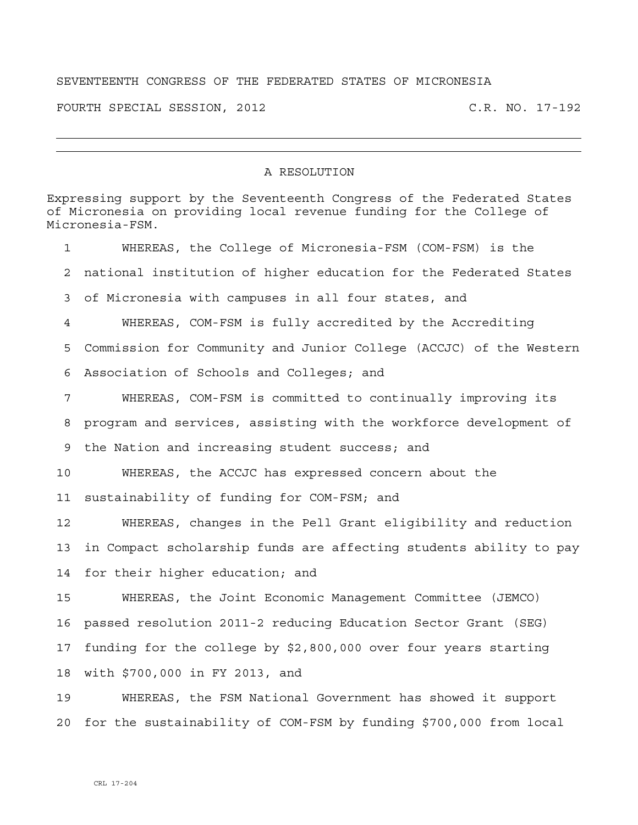## SEVENTEENTH CONGRESS OF THE FEDERATED STATES OF MICRONESIA

FOURTH SPECIAL SESSION, 2012 C.R. NO. 17-192

## A RESOLUTION

Expressing support by the Seventeenth Congress of the Federated States of Micronesia on providing local revenue funding for the College of Micronesia-FSM. 1 WHEREAS, the College of Micronesia-FSM (COM-FSM) is the 2 national institution of higher education for the Federated States 3 of Micronesia with campuses in all four states, and 4 WHEREAS, COM-FSM is fully accredited by the Accrediting 5 Commission for Community and Junior College (ACCJC) of the Western 6 Association of Schools and Colleges; and 7 WHEREAS, COM-FSM is committed to continually improving its 8 program and services, assisting with the workforce development of 9 the Nation and increasing student success; and 10 WHEREAS, the ACCJC has expressed concern about the 11 sustainability of funding for COM-FSM; and 12 WHEREAS, changes in the Pell Grant eligibility and reduction 13 in Compact scholarship funds are affecting students ability to pay 14 for their higher education; and 15 WHEREAS, the Joint Economic Management Committee (JEMCO) 16 passed resolution 2011-2 reducing Education Sector Grant (SEG) 17 funding for the college by \$2,800,000 over four years starting 18 with \$700,000 in FY 2013, and 19 WHEREAS, the FSM National Government has showed it support 20 for the sustainability of COM-FSM by funding \$700,000 from local